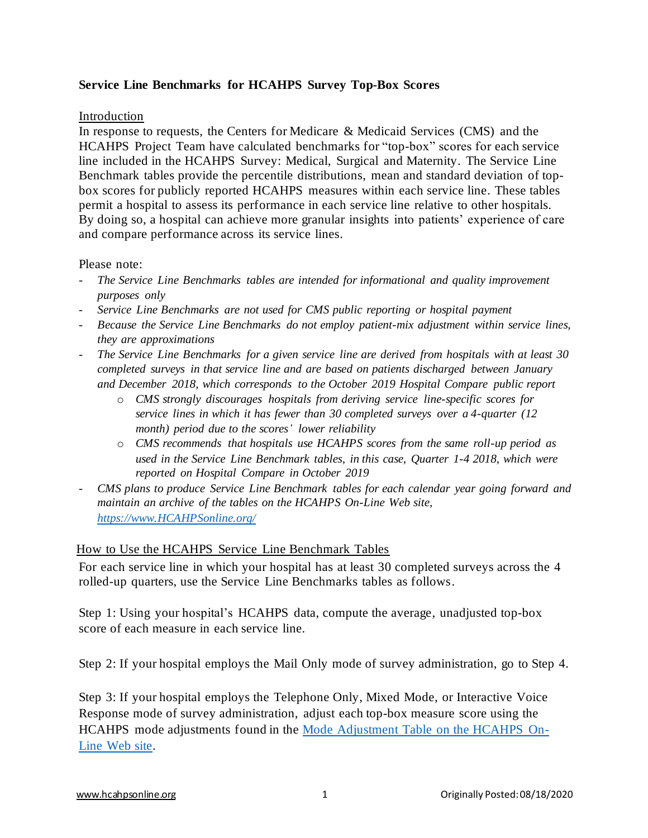# **Service Line Benchmarks for HCAHPS Survey Top-Box Scores**

### Introduction

In response to requests, the Centers for Medicare & Medicaid Services (CMS) and the HCAHPS Project Team have calculated benchmarks for "top-box" scores for each service line included in the HCAHPS Survey: Medical, Surgical and Maternity. The Service Line Benchmark tables provide the percentile distributions, mean and standard deviation of topbox scores for publicly reported HCAHPS measures within each service line. These tables permit a hospital to assess its performance in each service line relative to other hospitals. By doing so, a hospital can achieve more granular insights into patients' experience of care and compare performance across its service lines.

### Please note:

- *The Service Line Benchmarks tables are intended for informational and quality improvement purposes only*
- *Service Line Benchmarks are not used for CMS public reporting or hospital payment*
- *Because the Service Line Benchmarks do not employ patient-mix adjustment within service lines, they are approximations*
- *The Service Line Benchmarks for a given service line are derived from hospitals with at least 30 completed surveys in that service line and are based on patients discharged between January and December 2018, which corresponds to the October 2019 Hospital Compare public report*
	- o *CMS strongly discourages hospitals from deriving service line-specific scores for service lines in which it has fewer than 30 completed surveys over a 4-quarter (12 month) period due to the scores' lower reliability*
	- o *CMS recommends that hospitals use HCAHPS scores from the same roll-up period as used in the Service Line Benchmark tables, in this case, Quarter 1-4 2018, which were reported on Hospital Compare in October 2019*
- *CMS plans to produce Service Line Benchmark tables for each calendar year going forward and maintain an archive of the tables on the HCAHPS On-Line Web site, [https://www.HCAHPSonline.org/](https://www.hcahpsonline.org/)*

# How to Use the HCAHPS Service Line Benchmark Tables

For each service line in which your hospital has at least 30 completed surveys across the 4 rolled-up quarters, use the Service Line Benchmarks tables as follows.

Step 1: Using your hospital's HCAHPS data, compute the average, unadjusted top-box score of each measure in each service line.

Step 2: If your hospital employs the Mail Only mode of survey administration, go to Step 4.

Step 3: If your hospital employs the Telephone Only, Mixed Mode, or Interactive Voice Response mode of survey administration, adjust each top-box measure score using the HCAHPS mode adjustments found in the [Mode Adjustment Table](https://hcahpsonline.org/globalassets/hcahps/mode-patient-mix-adjustment/april_2017_mode_patient-mix_adjustment_hcahps_survey_mode_adjustment.pdf) on the HCAHPS On-[Line Web site.](https://hcahpsonline.org/globalassets/hcahps/mode-patient-mix-adjustment/april_2017_mode_patient-mix_adjustment_hcahps_survey_mode_adjustment.pdf)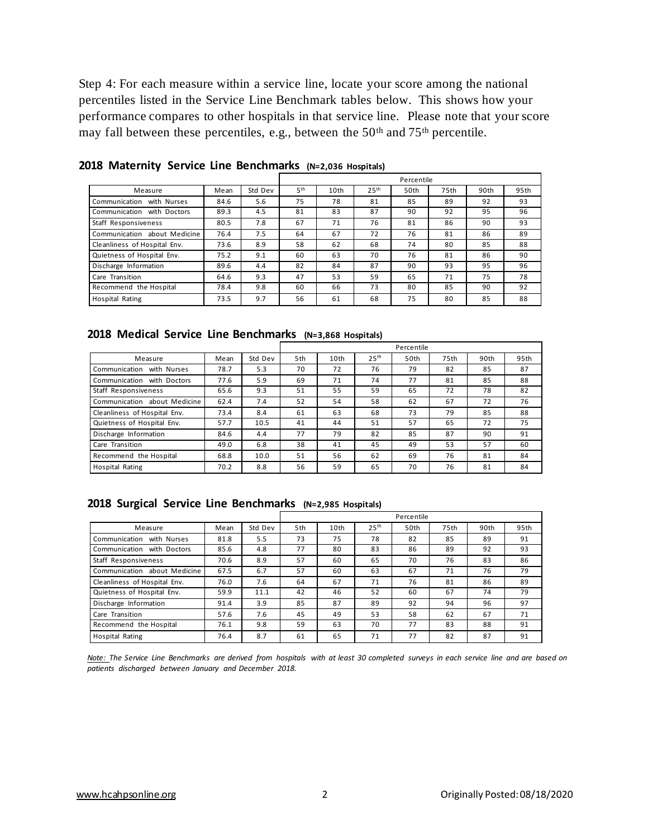Step 4: For each measure within a service line, locate your score among the national percentiles listed in the Service Line Benchmark tables below. This shows how your performance compares to other hospitals in that service line. Please note that your score may fall between these percentiles, e.g., between the 50<sup>th</sup> and 75<sup>th</sup> percentile.

|                              |      |         | Percentile      |                  |                  |      |      |      |      |
|------------------------------|------|---------|-----------------|------------------|------------------|------|------|------|------|
| Measure                      | Mean | Std Dev | 5 <sup>th</sup> | 10 <sub>th</sub> | 25 <sup>th</sup> | 50th | 75th | 90th | 95th |
| Communication<br>with Nurses | 84.6 | 5.6     | 75              | 78               | 81               | 85   | 89   | 92   | 93   |
| Communication with Doctors   | 89.3 | 4.5     | 81              | 83               | 87               | 90   | 92   | 95   | 96   |
| Staff Responsiveness         | 80.5 | 7.8     | 67              | 71               | 76               | 81   | 86   | 90   | 93   |
| Communication about Medicine | 76.4 | 7.5     | 64              | 67               | 72               | 76   | 81   | 86   | 89   |
| Cleanliness of Hospital Env. | 73.6 | 8.9     | 58              | 62               | 68               | 74   | 80   | 85   | 88   |
| Quietness of Hospital Env.   | 75.2 | 9.1     | 60              | 63               | 70               | 76   | 81   | 86   | 90   |
| Discharge Information        | 89.6 | 4.4     | 82              | 84               | 87               | 90   | 93   | 95   | 96   |
| Care Transition              | 64.6 | 9.3     | 47              | 53               | 59               | 65   | 71   | 75   | 78   |
| Recommend the Hospital       | 78.4 | 9.8     | 60              | 66               | 73               | 80   | 85   | 90   | 92   |
| <b>Hospital Rating</b>       | 73.5 | 9.7     | 56              | 61               | 68               | 75   | 80   | 85   | 88   |

**2018 Maternity Service Line Benchmarks (N=2,036 Hospitals)**

#### **2018 Medical Service Line Benchmarks (N=3,868 Hospitals)**

|                               |      |         | Percentile |      |                  |      |      |      |      |
|-------------------------------|------|---------|------------|------|------------------|------|------|------|------|
| Measure                       | Mean | Std Dev | 5th        | 10th | 25 <sup>th</sup> | 50th | 75th | 90th | 95th |
| with Nurses<br>Communication  | 78.7 | 5.3     | 70         | 72   | 76               | 79   | 82   | 85   | 87   |
| Communication<br>with Doctors | 77.6 | 5.9     | 69         | 71   | 74               | 77   | 81   | 85   | 88   |
| Staff Responsiveness          | 65.6 | 9.3     | 51         | 55   | 59               | 65   | 72   | 78   | 82   |
| Communication about Medicine  | 62.4 | 7.4     | 52         | 54   | 58               | 62   | 67   | 72   | 76   |
| Cleanliness of Hospital Env.  | 73.4 | 8.4     | 61         | 63   | 68               | 73   | 79   | 85   | 88   |
| Quietness of Hospital Env.    | 57.7 | 10.5    | 41         | 44   | 51               | 57   | 65   | 72   | 75   |
| Discharge Information         | 84.6 | 4.4     | 77         | 79   | 82               | 85   | 87   | 90   | 91   |
| Care Transition               | 49.0 | 6.8     | 38         | 41   | 45               | 49   | 53   | 57   | 60   |
| Recommend the Hospital        | 68.8 | 10.0    | 51         | 56   | 62               | 69   | 76   | 81   | 84   |
| <b>Hospital Rating</b>        | 70.2 | 8.8     | 56         | 59   | 65               | 70   | 76   | 81   | 84   |

#### **2018 Surgical Service Line Benchmarks (N=2,985 Hospitals)**

|                               |      |         | Percentile |      |                  |      |      |      |      |
|-------------------------------|------|---------|------------|------|------------------|------|------|------|------|
| Measure                       | Mean | Std Dev | 5th        | 10th | 25 <sup>th</sup> | 50th | 75th | 90th | 95th |
| Communication<br>with Nurses  | 81.8 | 5.5     | 73         | 75   | 78               | 82   | 85   | 89   | 91   |
| Communication<br>with Doctors | 85.6 | 4.8     | 77         | 80   | 83               | 86   | 89   | 92   | 93   |
| Staff Responsiveness          | 70.6 | 8.9     | 57         | 60   | 65               | 70   | 76   | 83   | 86   |
| Communication about Medicine  | 67.5 | 6.7     | 57         | 60   | 63               | 67   | 71   | 76   | 79   |
| Cleanliness of Hospital Env.  | 76.0 | 7.6     | 64         | 67   | 71               | 76   | 81   | 86   | 89   |
| Quietness of Hospital Env.    | 59.9 | 11.1    | 42         | 46   | 52               | 60   | 67   | 74   | 79   |
| Discharge Information         | 91.4 | 3.9     | 85         | 87   | 89               | 92   | 94   | 96   | 97   |
| Care Transition               | 57.6 | 7.6     | 45         | 49   | 53               | 58   | 62   | 67   | 71   |
| Recommend the Hospital        | 76.1 | 9.8     | 59         | 63   | 70               | 77   | 83   | 88   | 91   |
| Hospital Rating               | 76.4 | 8.7     | 61         | 65   | 71               | 77   | 82   | 87   | 91   |

*Note: The Service Line Benchmarks are derived from hospitals with at least 30 completed surveys in each service line and are based on patients discharged between January and December 2018.*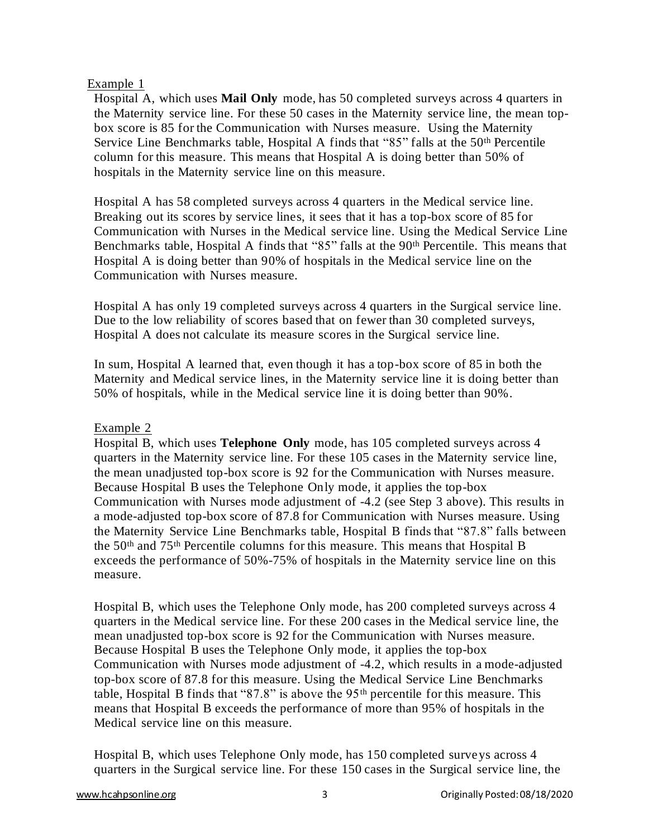# Example 1

Hospital A, which uses **Mail Only** mode, has 50 completed surveys across 4 quarters in the Maternity service line. For these 50 cases in the Maternity service line, the mean topbox score is 85 for the Communication with Nurses measure. Using the Maternity Service Line Benchmarks table, Hospital A finds that "85" falls at the 50<sup>th</sup> Percentile column for this measure. This means that Hospital A is doing better than 50% of hospitals in the Maternity service line on this measure.

Hospital A has 58 completed surveys across 4 quarters in the Medical service line. Breaking out its scores by service lines, it sees that it has a top-box score of 85 for Communication with Nurses in the Medical service line. Using the Medical Service Line Benchmarks table, Hospital A finds that "85" falls at the 90<sup>th</sup> Percentile. This means that Hospital A is doing better than 90% of hospitals in the Medical service line on the Communication with Nurses measure.

Hospital A has only 19 completed surveys across 4 quarters in the Surgical service line. Due to the low reliability of scores based that on fewer than 30 completed surveys, Hospital A does not calculate its measure scores in the Surgical service line.

In sum, Hospital A learned that, even though it has a top-box score of 85 in both the Maternity and Medical service lines, in the Maternity service line it is doing better than 50% of hospitals, while in the Medical service line it is doing better than 90%.

# Example 2

Hospital B, which uses **Telephone Only** mode, has 105 completed surveys across 4 quarters in the Maternity service line. For these 105 cases in the Maternity service line, the mean unadjusted top-box score is 92 for the Communication with Nurses measure. Because Hospital B uses the Telephone Only mode, it applies the top-box Communication with Nurses mode adjustment of -4.2 (see Step 3 above). This results in a mode-adjusted top-box score of 87.8 for Communication with Nurses measure. Using the Maternity Service Line Benchmarks table, Hospital B finds that "87.8" falls between the 50th and 75th Percentile columns for this measure. This means that Hospital B exceeds the performance of 50%-75% of hospitals in the Maternity service line on this measure.

Hospital B, which uses the Telephone Only mode, has 200 completed surveys across 4 quarters in the Medical service line. For these 200 cases in the Medical service line, the mean unadjusted top-box score is 92 for the Communication with Nurses measure. Because Hospital B uses the Telephone Only mode, it applies the top-box Communication with Nurses mode adjustment of -4.2, which results in a mode-adjusted top-box score of 87.8 for this measure. Using the Medical Service Line Benchmarks table, Hospital B finds that "87.8" is above the  $95<sup>th</sup>$  percentile for this measure. This means that Hospital B exceeds the performance of more than 95% of hospitals in the Medical service line on this measure.

Hospital B, which uses Telephone Only mode, has 150 completed surveys across 4 quarters in the Surgical service line. For these 150 cases in the Surgical service line, the